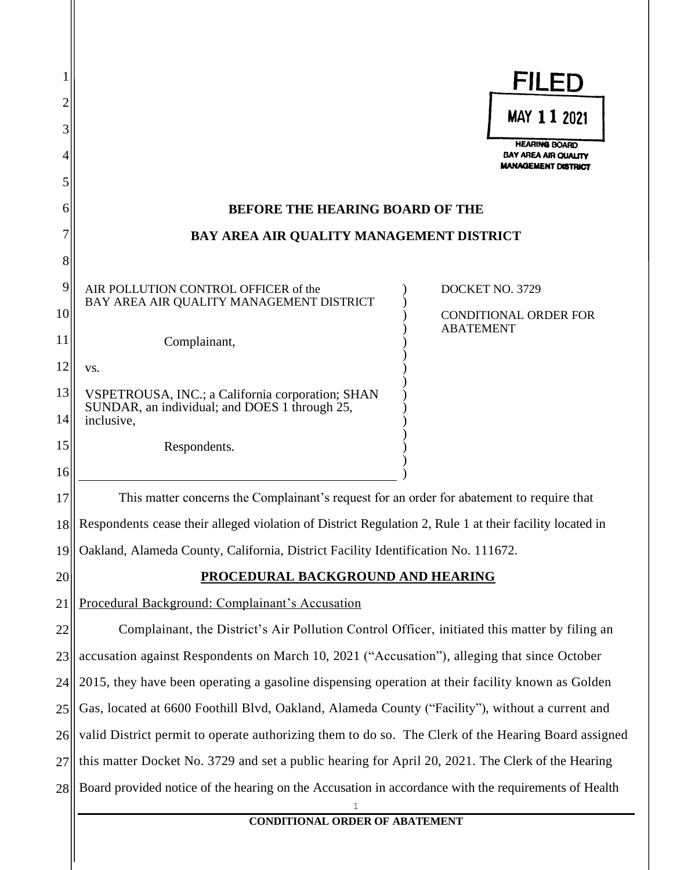|          |                                                                                                         | <b>FILED</b>                                        |  |  |
|----------|---------------------------------------------------------------------------------------------------------|-----------------------------------------------------|--|--|
| 3        |                                                                                                         | MAY 11 2021                                         |  |  |
|          |                                                                                                         | <b>HEARING BOARD</b><br><b>BAY AREA AIR QUALITY</b> |  |  |
| 5        |                                                                                                         | <b>MANAGEMENT DISTRICT</b>                          |  |  |
| 6        | <b>BEFORE THE HEARING BOARD OF THE</b>                                                                  |                                                     |  |  |
|          | BAY AREA AIR QUALITY MANAGEMENT DISTRICT                                                                |                                                     |  |  |
| 8        |                                                                                                         |                                                     |  |  |
| 9        | AIR POLLUTION CONTROL OFFICER of the<br>DOCKET NO. 3729<br>BAY AREA AIR QUALITY MANAGEMENT DISTRICT     |                                                     |  |  |
| 10       | <b>ABATEMENT</b>                                                                                        | CONDITIONAL ORDER FOR                               |  |  |
| 11       | Complainant,                                                                                            |                                                     |  |  |
| 12       | VS.                                                                                                     |                                                     |  |  |
| 13       | VSPETROUSA, INC.; a California corporation; SHAN<br>SUNDAR, an individual; and DOES 1 through 25,       |                                                     |  |  |
| 14       | inclusive,                                                                                              |                                                     |  |  |
| 15<br>16 | Respondents.                                                                                            |                                                     |  |  |
| 17       | This matter concerns the Complainant's request for an order for abatement to require that               |                                                     |  |  |
| 18       | Respondents cease their alleged violation of District Regulation 2, Rule 1 at their facility located in |                                                     |  |  |
| 19       | Oakland, Alameda County, California, District Facility Identification No. 111672.                       |                                                     |  |  |
| 20       | <b>PROCEDURAL BACKGROUND AND HEARING</b>                                                                |                                                     |  |  |
| 21       | Procedural Background: Complainant's Accusation                                                         |                                                     |  |  |
| 22       | Complainant, the District's Air Pollution Control Officer, initiated this matter by filing an           |                                                     |  |  |
| 23       | accusation against Respondents on March 10, 2021 ("Accusation"), alleging that since October            |                                                     |  |  |
| 24       | 2015, they have been operating a gasoline dispensing operation at their facility known as Golden        |                                                     |  |  |
| 25       | Gas, located at 6600 Foothill Blvd, Oakland, Alameda County ("Facility"), without a current and         |                                                     |  |  |
| 26       | valid District permit to operate authorizing them to do so. The Clerk of the Hearing Board assigned     |                                                     |  |  |
| 27       | this matter Docket No. 3729 and set a public hearing for April 20, 2021. The Clerk of the Hearing       |                                                     |  |  |
| 28       | Board provided notice of the hearing on the Accusation in accordance with the requirements of Health    |                                                     |  |  |
|          | <b>CONDITIONAL ORDER OF ABATEMENT</b>                                                                   |                                                     |  |  |
|          |                                                                                                         |                                                     |  |  |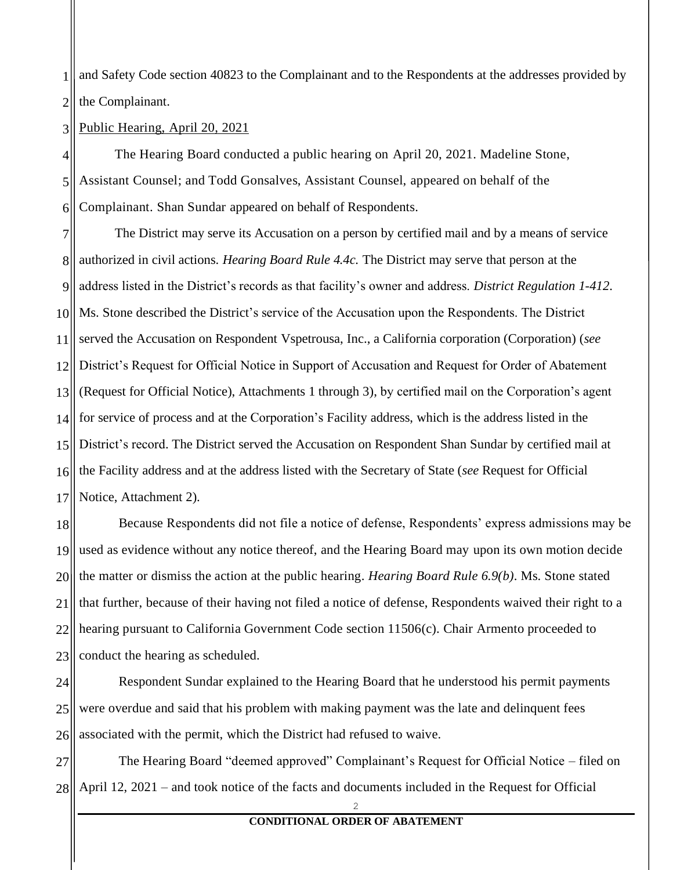1 2 and Safety Code section 40823 to the Complainant and to the Respondents at the addresses provided by the Complainant.

3 Public Hearing, April 20, 2021

4 5 6 The Hearing Board conducted a public hearing on April 20, 2021. Madeline Stone, Assistant Counsel; and Todd Gonsalves, Assistant Counsel, appeared on behalf of the Complainant. Shan Sundar appeared on behalf of Respondents.

7 8 9 10 11 12 13 14 15 16 17 The District may serve its Accusation on a person by certified mail and by a means of service authorized in civil actions. *Hearing Board Rule 4.4c.* The District may serve that person at the address listed in the District's records as that facility's owner and address. *District Regulation 1-412*. Ms. Stone described the District's service of the Accusation upon the Respondents. The District served the Accusation on Respondent Vspetrousa, Inc., a California corporation (Corporation) (*see* District's Request for Official Notice in Support of Accusation and Request for Order of Abatement (Request for Official Notice), Attachments 1 through 3), by certified mail on the Corporation's agent for service of process and at the Corporation's Facility address, which is the address listed in the District's record. The District served the Accusation on Respondent Shan Sundar by certified mail at the Facility address and at the address listed with the Secretary of State (*see* Request for Official Notice, Attachment 2).

18 19 20 21 22 23 Because Respondents did not file a notice of defense, Respondents' express admissions may be used as evidence without any notice thereof, and the Hearing Board may upon its own motion decide the matter or dismiss the action at the public hearing. *Hearing Board Rule 6.9(b)*. Ms. Stone stated that further, because of their having not filed a notice of defense, Respondents waived their right to a hearing pursuant to California Government Code section 11506(c). Chair Armento proceeded to conduct the hearing as scheduled.

24 25 26 Respondent Sundar explained to the Hearing Board that he understood his permit payments were overdue and said that his problem with making payment was the late and delinquent fees associated with the permit, which the District had refused to waive.

27 28 The Hearing Board "deemed approved" Complainant's Request for Official Notice – filed on April 12, 2021 – and took notice of the facts and documents included in the Request for Official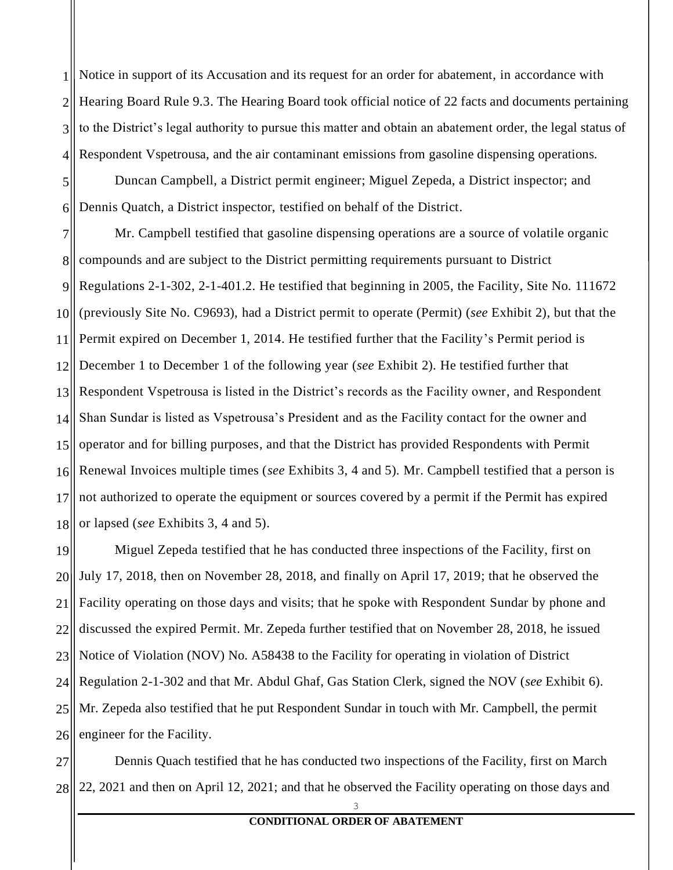1 2 3 4 Notice in support of its Accusation and its request for an order for abatement, in accordance with Hearing Board Rule 9.3. The Hearing Board took official notice of 22 facts and documents pertaining to the District's legal authority to pursue this matter and obtain an abatement order, the legal status of Respondent Vspetrousa, and the air contaminant emissions from gasoline dispensing operations.

5 6 Duncan Campbell, a District permit engineer; Miguel Zepeda, a District inspector; and Dennis Quatch, a District inspector, testified on behalf of the District.

7 8 9 10 11 12 13 14 15 16 17 18 Mr. Campbell testified that gasoline dispensing operations are a source of volatile organic compounds and are subject to the District permitting requirements pursuant to District Regulations 2-1-302, 2-1-401.2. He testified that beginning in 2005, the Facility, Site No. 111672 (previously Site No. C9693), had a District permit to operate (Permit) (*see* Exhibit 2), but that the Permit expired on December 1, 2014. He testified further that the Facility's Permit period is December 1 to December 1 of the following year (*see* Exhibit 2). He testified further that Respondent Vspetrousa is listed in the District's records as the Facility owner, and Respondent Shan Sundar is listed as Vspetrousa's President and as the Facility contact for the owner and operator and for billing purposes, and that the District has provided Respondents with Permit Renewal Invoices multiple times (*see* Exhibits 3, 4 and 5). Mr. Campbell testified that a person is not authorized to operate the equipment or sources covered by a permit if the Permit has expired or lapsed (*see* Exhibits 3, 4 and 5).

19 20 21 22 23 24 25 26 Miguel Zepeda testified that he has conducted three inspections of the Facility, first on July 17, 2018, then on November 28, 2018, and finally on April 17, 2019; that he observed the Facility operating on those days and visits; that he spoke with Respondent Sundar by phone and discussed the expired Permit. Mr. Zepeda further testified that on November 28, 2018, he issued Notice of Violation (NOV) No. A58438 to the Facility for operating in violation of District Regulation 2-1-302 and that Mr. Abdul Ghaf, Gas Station Clerk, signed the NOV (*see* Exhibit 6). Mr. Zepeda also testified that he put Respondent Sundar in touch with Mr. Campbell, the permit engineer for the Facility.

27 28 Dennis Quach testified that he has conducted two inspections of the Facility, first on March 22, 2021 and then on April 12, 2021; and that he observed the Facility operating on those days and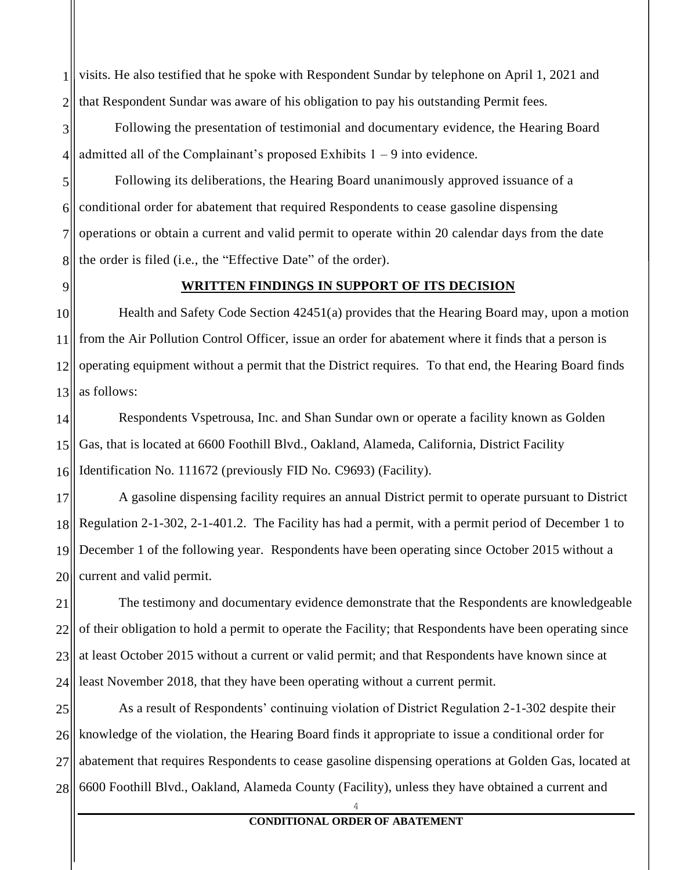1 2 visits. He also testified that he spoke with Respondent Sundar by telephone on April 1, 2021 and that Respondent Sundar was aware of his obligation to pay his outstanding Permit fees.

3 4 Following the presentation of testimonial and documentary evidence, the Hearing Board admitted all of the Complainant's proposed Exhibits  $1 - 9$  into evidence.

5 6 7 8 Following its deliberations, the Hearing Board unanimously approved issuance of a conditional order for abatement that required Respondents to cease gasoline dispensing operations or obtain a current and valid permit to operate within 20 calendar days from the date the order is filed (i.e., the "Effective Date" of the order).

9

## **WRITTEN FINDINGS IN SUPPORT OF ITS DECISION**

10 11 12 13 Health and Safety Code Section 42451(a) provides that the Hearing Board may, upon a motion from the Air Pollution Control Officer, issue an order for abatement where it finds that a person is operating equipment without a permit that the District requires. To that end, the Hearing Board finds as follows:

14 15 16 Respondents Vspetrousa, Inc. and Shan Sundar own or operate a facility known as Golden Gas, that is located at 6600 Foothill Blvd., Oakland, Alameda, California, District Facility Identification No. 111672 (previously FID No. C9693) (Facility).

17 18 19 20 A gasoline dispensing facility requires an annual District permit to operate pursuant to District Regulation 2-1-302, 2-1-401.2. The Facility has had a permit, with a permit period of December 1 to December 1 of the following year. Respondents have been operating since October 2015 without a current and valid permit.

21 22 23 24 The testimony and documentary evidence demonstrate that the Respondents are knowledgeable of their obligation to hold a permit to operate the Facility; that Respondents have been operating since at least October 2015 without a current or valid permit; and that Respondents have known since at least November 2018, that they have been operating without a current permit.

25 26 27 28 As a result of Respondents' continuing violation of District Regulation 2-1-302 despite their knowledge of the violation, the Hearing Board finds it appropriate to issue a conditional order for abatement that requires Respondents to cease gasoline dispensing operations at Golden Gas, located at 6600 Foothill Blvd., Oakland, Alameda County (Facility), unless they have obtained a current and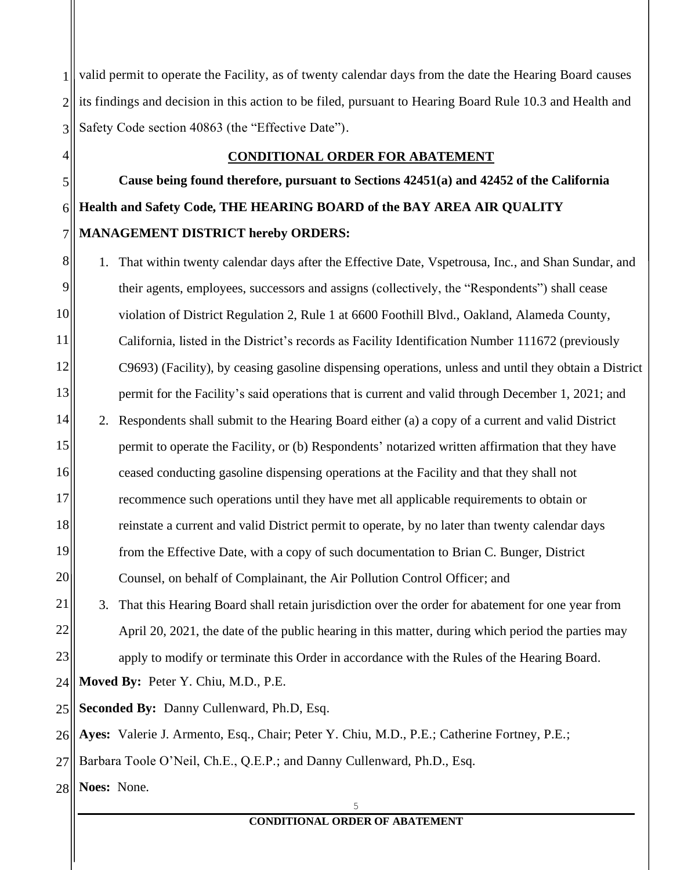1 2 3 valid permit to operate the Facility, as of twenty calendar days from the date the Hearing Board causes its findings and decision in this action to be filed, pursuant to Hearing Board Rule 10.3 and Health and Safety Code section 40863 (the "Effective Date").

## **CONDITIONAL ORDER FOR ABATEMENT**

**Cause being found therefore, pursuant to Sections 42451(a) and 42452 of the California Health and Safety Code, THE HEARING BOARD of the BAY AREA AIR QUALITY MANAGEMENT DISTRICT hereby ORDERS:**

8 9 10 11 12 13 14 15 16 17 18 19 20 21 22 23 24 25 26 27 1. That within twenty calendar days after the Effective Date, Vspetrousa, Inc., and Shan Sundar, and their agents, employees, successors and assigns (collectively, the "Respondents") shall cease violation of District Regulation 2, Rule 1 at 6600 Foothill Blvd., Oakland, Alameda County, California, listed in the District's records as Facility Identification Number 111672 (previously C9693) (Facility), by ceasing gasoline dispensing operations, unless and until they obtain a District permit for the Facility's said operations that is current and valid through December 1, 2021; and 2. Respondents shall submit to the Hearing Board either (a) a copy of a current and valid District permit to operate the Facility, or (b) Respondents' notarized written affirmation that they have ceased conducting gasoline dispensing operations at the Facility and that they shall not recommence such operations until they have met all applicable requirements to obtain or reinstate a current and valid District permit to operate, by no later than twenty calendar days from the Effective Date, with a copy of such documentation to Brian C. Bunger, District Counsel, on behalf of Complainant, the Air Pollution Control Officer; and 3. That this Hearing Board shall retain jurisdiction over the order for abatement for one year from April 20, 2021, the date of the public hearing in this matter, during which period the parties may apply to modify or terminate this Order in accordance with the Rules of the Hearing Board. **Moved By:** Peter Y. Chiu, M.D., P.E. **Seconded By:** Danny Cullenward, Ph.D, Esq. **Ayes:** Valerie J. Armento, Esq., Chair; Peter Y. Chiu, M.D., P.E.; Catherine Fortney, P.E.; Barbara Toole O'Neil, Ch.E., Q.E.P.; and Danny Cullenward, Ph.D., Esq.

28 **Noes:** None.

4

5

6

7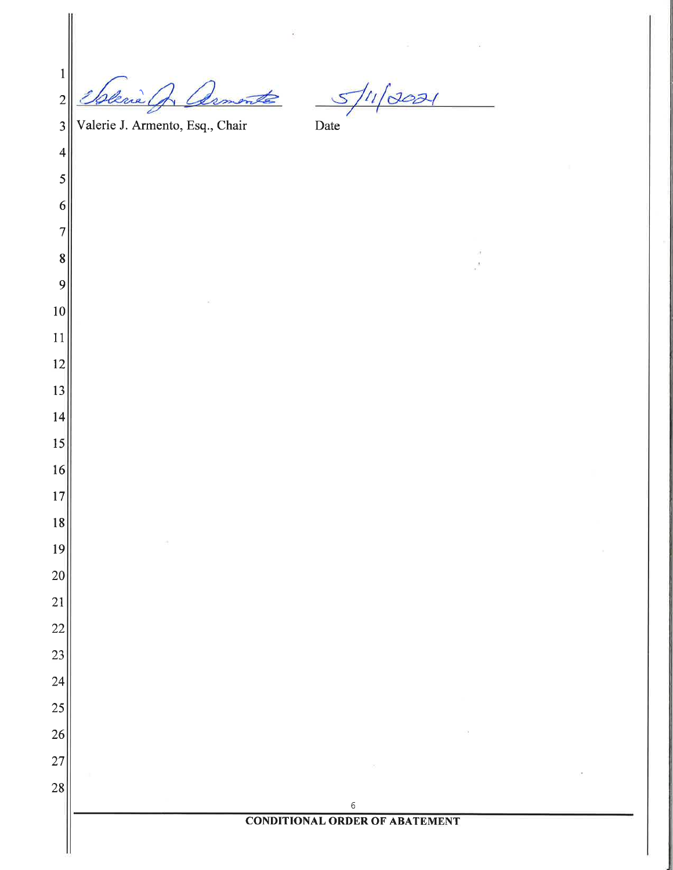| $\mathbf 1$              |                                         |                                       |  |
|--------------------------|-----------------------------------------|---------------------------------------|--|
| $\overline{c}$           | rie                                     | $\approx$                             |  |
| $\overline{\mathbf{3}}$  | Valerie J. Armento, Esq., Chair<br>Date |                                       |  |
| $\overline{\mathcal{A}}$ |                                         |                                       |  |
| 5                        |                                         |                                       |  |
| 6                        |                                         |                                       |  |
| $\overline{7}$           |                                         |                                       |  |
| 8                        |                                         |                                       |  |
| 9                        |                                         |                                       |  |
| 10                       |                                         |                                       |  |
| 11                       |                                         |                                       |  |
| 12                       |                                         |                                       |  |
| 13                       |                                         |                                       |  |
| 14                       |                                         |                                       |  |
| 15                       |                                         |                                       |  |
| 16                       |                                         |                                       |  |
| 17                       |                                         |                                       |  |
| 18                       |                                         |                                       |  |
| 19                       |                                         |                                       |  |
| 20                       |                                         |                                       |  |
| 21                       |                                         |                                       |  |
| 22                       |                                         |                                       |  |
| 23                       |                                         |                                       |  |
| 24                       |                                         |                                       |  |
| 25                       |                                         |                                       |  |
| 26                       |                                         |                                       |  |
| 27                       |                                         |                                       |  |
| 28                       |                                         | $\epsilon$                            |  |
|                          |                                         | <b>CONDITIONAL ORDER OF ABATEMENT</b> |  |
|                          |                                         |                                       |  |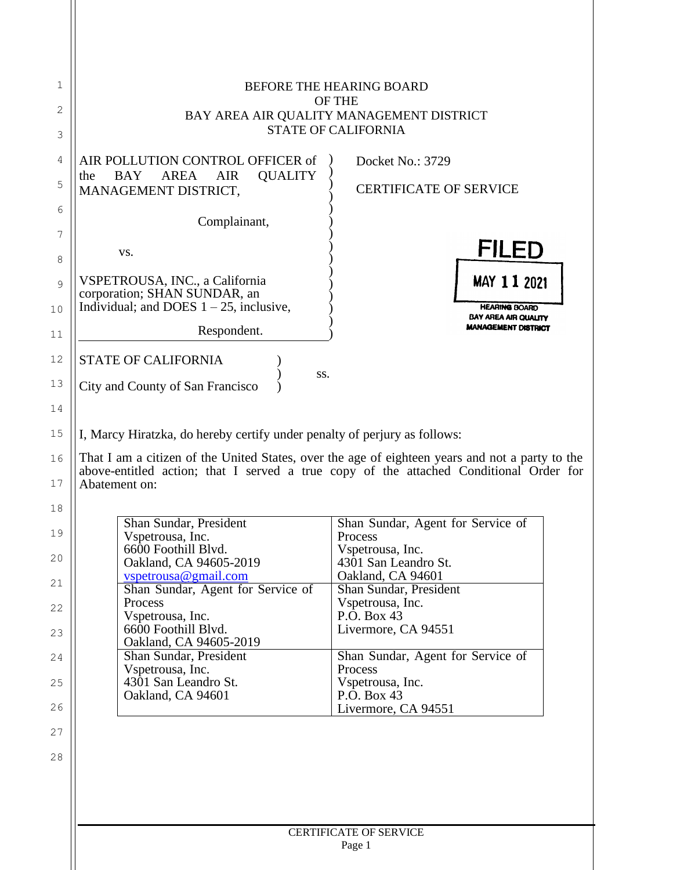| 1        | <b>BEFORE THE HEARING BOARD</b><br><b>OF THE</b>                                                                                                                                                           |                                                    |  |  |
|----------|------------------------------------------------------------------------------------------------------------------------------------------------------------------------------------------------------------|----------------------------------------------------|--|--|
| 2        | BAY AREA AIR QUALITY MANAGEMENT DISTRICT                                                                                                                                                                   |                                                    |  |  |
| 3        |                                                                                                                                                                                                            | <b>STATE OF CALIFORNIA</b>                         |  |  |
| 4        | AIR POLLUTION CONTROL OFFICER of                                                                                                                                                                           | Docket No.: 3729                                   |  |  |
| 5        | AREA<br><b>AIR</b><br><b>QUALITY</b><br><b>BAY</b><br>the<br>MANAGEMENT DISTRICT,                                                                                                                          | <b>CERTIFICATE OF SERVICE</b>                      |  |  |
| 6        | Complainant,                                                                                                                                                                                               |                                                    |  |  |
| 7        |                                                                                                                                                                                                            |                                                    |  |  |
| 8        | VS.                                                                                                                                                                                                        | <b>FILED</b>                                       |  |  |
| 9        | VSPETROUSA, INC., a California                                                                                                                                                                             | <b>MAY 11 2021</b>                                 |  |  |
| 10       | corporation; SHAN SUNDAR, an<br>Individual; and DOES $1 - 25$ , inclusive,                                                                                                                                 | <b>HEARING BOARD</b>                               |  |  |
| 11       | Respondent.                                                                                                                                                                                                | BAY AREA AIR QUALITY<br><b>MANAGEMENT DISTRICT</b> |  |  |
| 12       | <b>STATE OF CALIFORNIA</b>                                                                                                                                                                                 |                                                    |  |  |
| 13       | SS.<br>City and County of San Francisco                                                                                                                                                                    |                                                    |  |  |
| 14       |                                                                                                                                                                                                            |                                                    |  |  |
| 15       | I, Marcy Hiratzka, do hereby certify under penalty of perjury as follows:                                                                                                                                  |                                                    |  |  |
| 16<br>17 | That I am a citizen of the United States, over the age of eighteen years and not a party to the<br>above-entitled action; that I served a true copy of the attached Conditional Order for<br>Abatement on: |                                                    |  |  |
| 18       |                                                                                                                                                                                                            |                                                    |  |  |
| 19       | Shan Sundar, President                                                                                                                                                                                     | Shan Sundar, Agent for Service of                  |  |  |
|          | Vspetrousa, Inc.<br>6600 Foothill Blvd.                                                                                                                                                                    | Process<br>Vspetrousa, Inc.                        |  |  |
| 20       | Oakland, CA 94605-2019<br>$v$ spetrousa@gmail.com                                                                                                                                                          | 4301 San Leandro St.<br>Oakland, CA 94601          |  |  |
| 21       | Shan Sundar, Agent for Service of                                                                                                                                                                          | Shan Sundar, President                             |  |  |
| 22       | Process<br>Vspetrousa, Inc.                                                                                                                                                                                | Vspetrousa, Inc.<br>P.O. Box 43                    |  |  |
| 23       | 6600 Foothill Blvd.<br>Oakland, CA 94605-2019                                                                                                                                                              | Livermore, CA 94551                                |  |  |
| 24       | Shan Sundar, President                                                                                                                                                                                     | Shan Sundar, Agent for Service of<br>Process       |  |  |
| 25       | Vspetrousa, Inc.<br>4301 San Leandro St.                                                                                                                                                                   | Vspetrousa, Inc.                                   |  |  |
| 26       | Oakland, CA 94601                                                                                                                                                                                          | P.O. Box 43<br>Livermore, CA 94551                 |  |  |
| 27       |                                                                                                                                                                                                            |                                                    |  |  |
| 28       |                                                                                                                                                                                                            |                                                    |  |  |
|          |                                                                                                                                                                                                            |                                                    |  |  |
|          |                                                                                                                                                                                                            |                                                    |  |  |